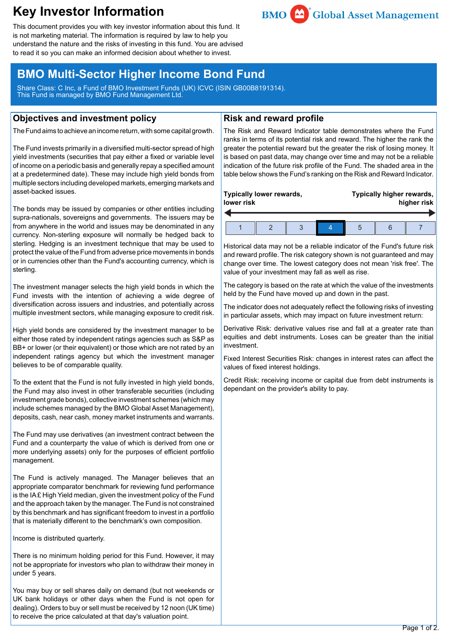# **Key Investor Information**



This document provides you with key investor information about this fund. It is not marketing material. The information is required by law to help you understand the nature and the risks of investing in this fund. You are advised to read it so you can make an informed decision about whether to invest.

## **BMO Multi-Sector Higher Income Bond Fund**

Share Class: C Inc, a Fund of BMO Investment Funds (UK) ICVC (ISIN GB00B8191314). This Fund is managed by BMO Fund Management Ltd.

## **Objectives and investment policy**

The Fund aims to achieve an income return, with some capital growth.

The Fund invests primarily in a diversified multi-sector spread of high yield investments (securities that pay either a fixed or variable level of income on a periodic basis and generally repay a specified amount at a predetermined date). These may include high yield bonds from multiple sectors including developed markets, emerging markets and asset-backed issues.

The bonds may be issued by companies or other entities including supra-nationals, sovereigns and governments. The issuers may be from anywhere in the world and issues may be denominated in any currency. Non-sterling exposure will normally be hedged back to sterling. Hedging is an investment technique that may be used to protect the value of the Fund from adverse price movements in bonds or in currencies other than the Fund's accounting currency, which is sterling.

The investment manager selects the high yield bonds in which the Fund invests with the intention of achieving a wide degree of diversification across issuers and industries, and potentially across multiple investment sectors, while managing exposure to credit risk.

High yield bonds are considered by the investment manager to be either those rated by independent ratings agencies such as S&P as BB+ or lower (or their equivalent) or those which are not rated by an independent ratings agency but which the investment manager believes to be of comparable quality.

To the extent that the Fund is not fully invested in high yield bonds, the Fund may also invest in other transferable securities (including investment grade bonds), collective investment schemes (which may include schemes managed by the BMO Global Asset Management), deposits, cash, near cash, money market instruments and warrants.

The Fund may use derivatives (an investment contract between the Fund and a counterparty the value of which is derived from one or more underlying assets) only for the purposes of efficient portfolio management.

The Fund is actively managed. The Manager believes that an appropriate comparator benchmark for reviewing fund performance is the IA £ High Yield median, given the investment policy of the Fund and the approach taken by the manager. The Fund is not constrained by this benchmark and has significant freedom to invest in a portfolio that is materially different to the benchmark's own composition.

Income is distributed quarterly.

There is no minimum holding period for this Fund. However, it may not be appropriate for investors who plan to withdraw their money in under 5 years.

You may buy or sell shares daily on demand (but not weekends or UK bank holidays or other days when the Fund is not open for dealing). Orders to buy or sell must be received by 12 noon (UK time) to receive the price calculated at that day's valuation point.

## **Risk and reward profile**

The Risk and Reward Indicator table demonstrates where the Fund ranks in terms of its potential risk and reward. The higher the rank the greater the potential reward but the greater the risk of losing money. It is based on past data, may change over time and may not be a reliable indication of the future risk profile of the Fund. The shaded area in the table below shows the Fund's ranking on the Risk and Reward Indicator.

| Typically lower rewards,<br>lower risk |  |  |  | Typically higher rewards,<br>higher risk |  |  |
|----------------------------------------|--|--|--|------------------------------------------|--|--|
|                                        |  |  |  |                                          |  |  |

Historical data may not be a reliable indicator of the Fund's future risk and reward profile. The risk category shown is not guaranteed and may change over time. The lowest category does not mean 'risk free'. The value of your investment may fall as well as rise.

The category is based on the rate at which the value of the investments held by the Fund have moved up and down in the past.

The indicator does not adequately reflect the following risks of investing in particular assets, which may impact on future investment return:

Derivative Risk: derivative values rise and fall at a greater rate than equities and debt instruments. Loses can be greater than the initial investment.

Fixed Interest Securities Risk: changes in interest rates can affect the values of fixed interest holdings.

Credit Risk: receiving income or capital due from debt instruments is dependant on the provider's ability to pay.